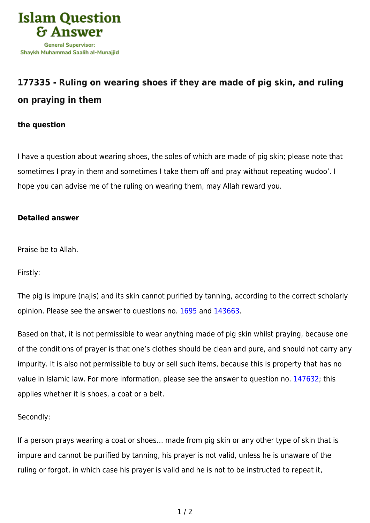

## **[177335 - Ruling on wearing shoes if they are made of pig skin, and ruling](https://islamqa.com/en/answers/177335/ruling-on-wearing-shoes-if-they-are-made-of-pig-skin-and-ruling-on-praying-in-them) [on praying in them](https://islamqa.com/en/answers/177335/ruling-on-wearing-shoes-if-they-are-made-of-pig-skin-and-ruling-on-praying-in-them)**

## **the question**

I have a question about wearing shoes, the soles of which are made of pig skin; please note that sometimes I pray in them and sometimes I take them off and pray without repeating wudoo'. I hope you can advise me of the ruling on wearing them, may Allah reward you.

## **Detailed answer**

Praise be to Allah.

Firstly:

The pig is impure (najis) and its skin cannot purified by tanning, according to the correct scholarly opinion. Please see the answer to questions no. [1695](https://islamqa.com/en/answers/1695) and [143663](https://islamqa.com/ar/answers/).

Based on that, it is not permissible to wear anything made of pig skin whilst praying, because one of the conditions of prayer is that one's clothes should be clean and pure, and should not carry any impurity. It is also not permissible to buy or sell such items, because this is property that has no value in Islamic law. For more information, please see the answer to question no. [147632](https://islamqa.com/en/answers/147632); this applies whether it is shoes, a coat or a belt.

Secondly:

If a person prays wearing a coat or shoes… made from pig skin or any other type of skin that is impure and cannot be purified by tanning, his prayer is not valid, unless he is unaware of the ruling or forgot, in which case his prayer is valid and he is not to be instructed to repeat it,